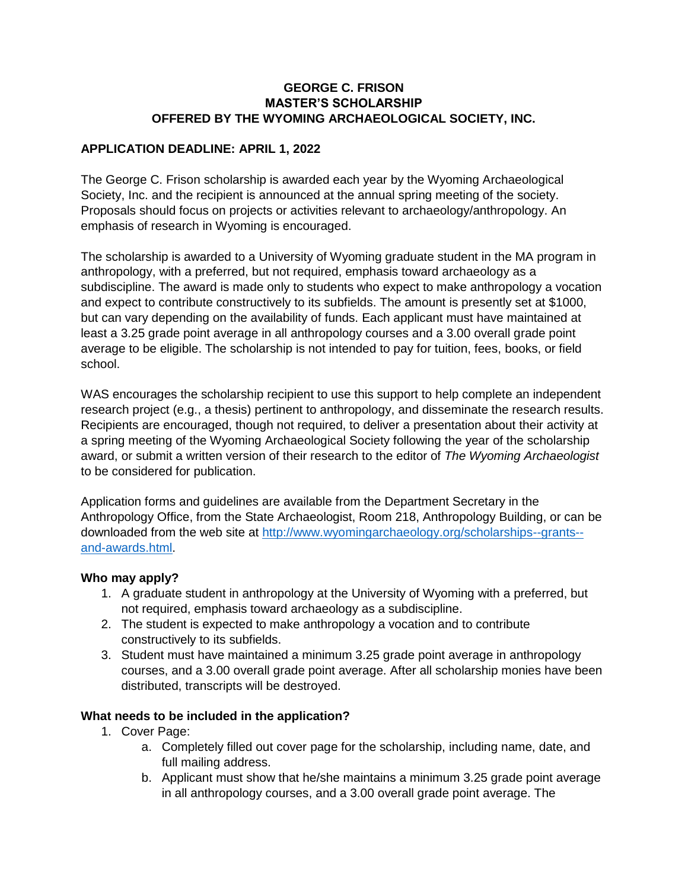### **GEORGE C. FRISON MASTER'S SCHOLARSHIP OFFERED BY THE WYOMING ARCHAEOLOGICAL SOCIETY, INC.**

## **APPLICATION DEADLINE: APRIL 1, 2022**

The George C. Frison scholarship is awarded each year by the Wyoming Archaeological Society, Inc. and the recipient is announced at the annual spring meeting of the society. Proposals should focus on projects or activities relevant to archaeology/anthropology. An emphasis of research in Wyoming is encouraged.

The scholarship is awarded to a University of Wyoming graduate student in the MA program in anthropology, with a preferred, but not required, emphasis toward archaeology as a subdiscipline. The award is made only to students who expect to make anthropology a vocation and expect to contribute constructively to its subfields. The amount is presently set at \$1000, but can vary depending on the availability of funds. Each applicant must have maintained at least a 3.25 grade point average in all anthropology courses and a 3.00 overall grade point average to be eligible. The scholarship is not intended to pay for tuition, fees, books, or field school.

WAS encourages the scholarship recipient to use this support to help complete an independent research project (e.g., a thesis) pertinent to anthropology, and disseminate the research results. Recipients are encouraged, though not required, to deliver a presentation about their activity at a spring meeting of the Wyoming Archaeological Society following the year of the scholarship award, or submit a written version of their research to the editor of *The Wyoming Archaeologist* to be considered for publication.

Application forms and guidelines are available from the Department Secretary in the Anthropology Office, from the State Archaeologist, Room 218, Anthropology Building, or can be downloaded from the web site at [http://www.wyomingarchaeology.org/scholarships--grants-](http://www.wyomingarchaeology.org/scholarships--grants--and-awards.html) [and-awards.html.](http://www.wyomingarchaeology.org/scholarships--grants--and-awards.html)

#### **Who may apply?**

- 1. A graduate student in anthropology at the University of Wyoming with a preferred, but not required, emphasis toward archaeology as a subdiscipline.
- 2. The student is expected to make anthropology a vocation and to contribute constructively to its subfields.
- 3. Student must have maintained a minimum 3.25 grade point average in anthropology courses, and a 3.00 overall grade point average. After all scholarship monies have been distributed, transcripts will be destroyed.

#### **What needs to be included in the application?**

- 1. Cover Page:
	- a. Completely filled out cover page for the scholarship, including name, date, and full mailing address.
	- b. Applicant must show that he/she maintains a minimum 3.25 grade point average in all anthropology courses, and a 3.00 overall grade point average. The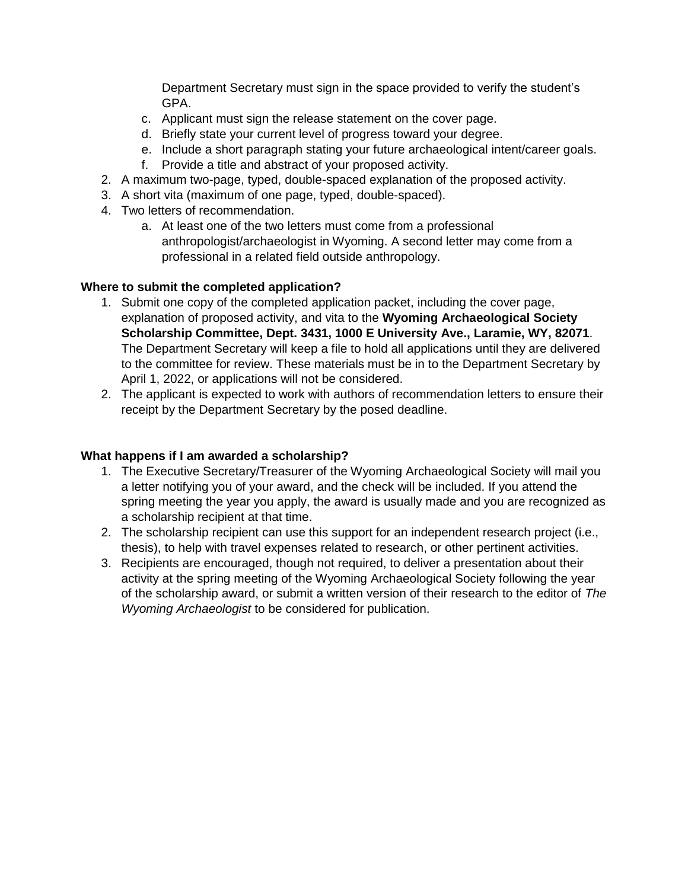Department Secretary must sign in the space provided to verify the student's GPA.

- c. Applicant must sign the release statement on the cover page.
- d. Briefly state your current level of progress toward your degree.
- e. Include a short paragraph stating your future archaeological intent/career goals.
- f. Provide a title and abstract of your proposed activity.
- 2. A maximum two-page, typed, double-spaced explanation of the proposed activity.
- 3. A short vita (maximum of one page, typed, double-spaced).
- 4. Two letters of recommendation.
	- a. At least one of the two letters must come from a professional anthropologist/archaeologist in Wyoming. A second letter may come from a professional in a related field outside anthropology.

#### **Where to submit the completed application?**

- 1. Submit one copy of the completed application packet, including the cover page, explanation of proposed activity, and vita to the **Wyoming Archaeological Society Scholarship Committee, Dept. 3431, 1000 E University Ave., Laramie, WY, 82071**. The Department Secretary will keep a file to hold all applications until they are delivered to the committee for review. These materials must be in to the Department Secretary by April 1, 2022, or applications will not be considered.
- 2. The applicant is expected to work with authors of recommendation letters to ensure their receipt by the Department Secretary by the posed deadline.

#### **What happens if I am awarded a scholarship?**

- 1. The Executive Secretary/Treasurer of the Wyoming Archaeological Society will mail you a letter notifying you of your award, and the check will be included. If you attend the spring meeting the year you apply, the award is usually made and you are recognized as a scholarship recipient at that time.
- 2. The scholarship recipient can use this support for an independent research project (i.e., thesis), to help with travel expenses related to research, or other pertinent activities.
- 3. Recipients are encouraged, though not required, to deliver a presentation about their activity at the spring meeting of the Wyoming Archaeological Society following the year of the scholarship award, or submit a written version of their research to the editor of *The Wyoming Archaeologist* to be considered for publication.